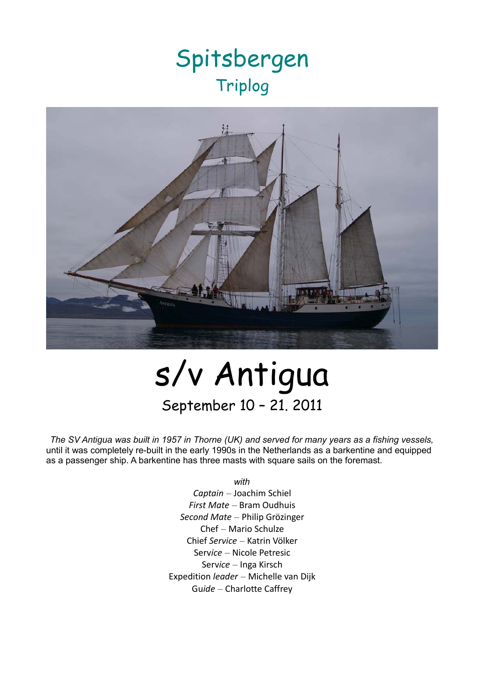## Spitsbergen Triplog



# s/v Antigua September 10 – 21. 2011

*The SV* Antigua *was built in 1957 in Thorne (UK) and served for many years as a fishing vessels,* until it was completely re-built in the early 1990s in the Netherlands as a barkentine and equipped as a passenger ship. A barkentine has three masts with square sails on the foremast.

*with*

*Captain* – Joachim Schiel *First Mate* – Bram Oudhuis *Second Mate* – Philip Grözinger Chef – Mario Schulze Chief *Service* – Katrin Völker Serv*ice* – Nicole Petresic Serv*ice* – Inga Kirsch Expedition *leader* – Michelle van Dijk Gu*ide* – Charlotte Caffrey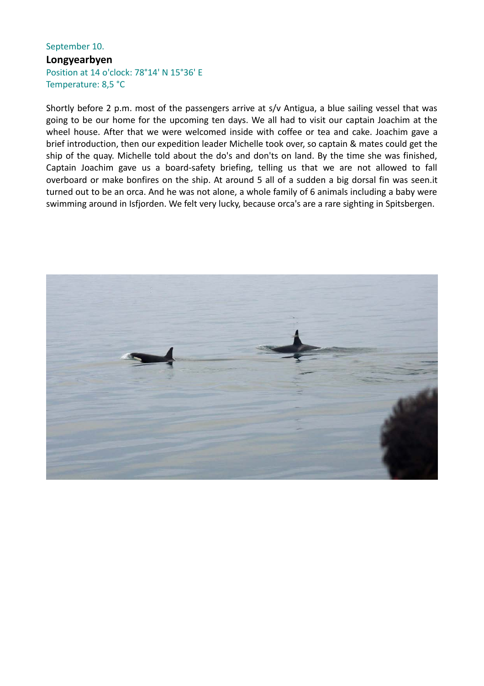#### September 10. **Longyearbyen** Position at 14 o'clock: 78°14' N 15°36' E Temperature: 8,5 °C

Shortly before 2 p.m. most of the passengers arrive at s/v Antigua, a blue sailing vessel that was going to be our home for the upcoming ten days. We all had to visit our captain Joachim at the wheel house. After that we were welcomed inside with coffee or tea and cake. Joachim gave a brief introduction, then our expedition leader Michelle took over, so captain & mates could get the ship of the quay. Michelle told about the do's and don'ts on land. By the time she was finished, Captain Joachim gave us a board-safety briefing, telling us that we are not allowed to fall overboard or make bonfires on the ship. At around 5 all of a sudden a big dorsal fin was seen.it turned out to be an orca. And he was not alone, a whole family of 6 animals including a baby were swimming around in Isfjorden. We felt very lucky, because orca's are a rare sighting in Spitsbergen.

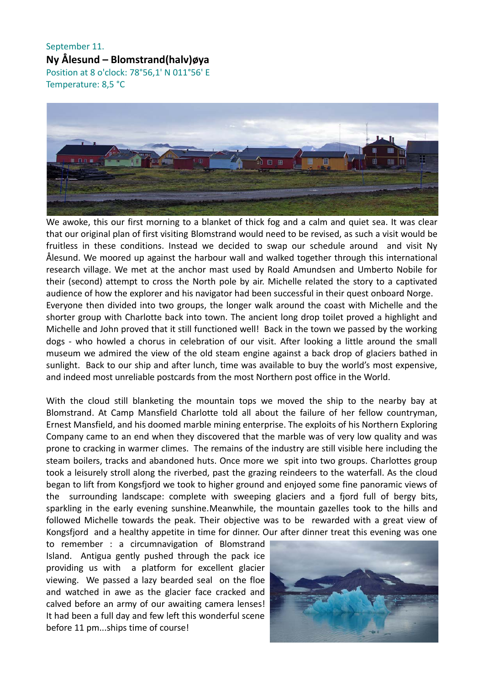September 11. **Ny Ålesund – Blomstrand(halv)øya** Position at 8 o'clock: 78°56,1' N 011°56' E Temperature: 8,5 °C



We awoke, this our first morning to a blanket of thick fog and a calm and quiet sea. It was clear that our original plan of first visiting Blomstrand would need to be revised, as such a visit would be fruitless in these conditions. Instead we decided to swap our schedule around and visit Ny Ålesund. We moored up against the harbour wall and walked together through this international research village. We met at the anchor mast used by Roald Amundsen and Umberto Nobile for their (second) attempt to cross the North pole by air. Michelle related the story to a captivated audience of how the explorer and his navigator had been successful in their quest onboard Norge. Everyone then divided into two groups, the longer walk around the coast with Michelle and the shorter group with Charlotte back into town. The ancient long drop toilet proved a highlight and Michelle and John proved that it still functioned well! Back in the town we passed by the working dogs - who howled a chorus in celebration of our visit. After looking a little around the small museum we admired the view of the old steam engine against a back drop of glaciers bathed in sunlight. Back to our ship and after lunch, time was available to buy the world's most expensive, and indeed most unreliable postcards from the most Northern post office in the World.

With the cloud still blanketing the mountain tops we moved the ship to the nearby bay at Blomstrand. At Camp Mansfield Charlotte told all about the failure of her fellow countryman, Ernest Mansfield, and his doomed marble mining enterprise. The exploits of his Northern Exploring Company came to an end when they discovered that the marble was of very low quality and was prone to cracking in warmer climes. The remains of the industry are still visible here including the steam boilers, tracks and abandoned huts. Once more we spit into two groups. Charlottes group took a leisurely stroll along the riverbed, past the grazing reindeers to the waterfall. As the cloud began to lift from Kongsfjord we took to higher ground and enjoyed some fine panoramic views of the surrounding landscape: complete with sweeping glaciers and a fjord full of bergy bits, sparkling in the early evening sunshine.Meanwhile, the mountain gazelles took to the hills and followed Michelle towards the peak. Their objective was to be rewarded with a great view of Kongsfjord and a healthy appetite in time for dinner. Our after dinner treat this evening was one

to remember : a circumnavigation of Blomstrand Island. Antigua gently pushed through the pack ice providing us with a platform for excellent glacier viewing. We passed a lazy bearded seal on the floe and watched in awe as the glacier face cracked and calved before an army of our awaiting camera lenses! It had been a full day and few left this wonderful scene before 11 pm...ships time of course!

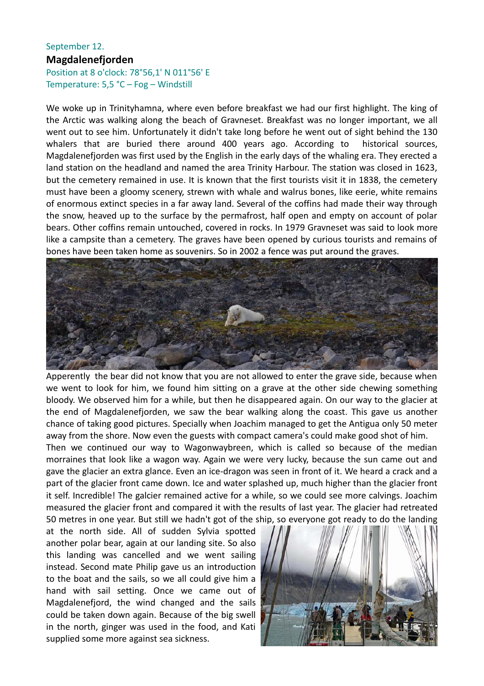#### September 12. **Magdalenefjorden**

#### Position at 8 o'clock: 78°56,1' N 011°56' E Temperature: 5,5 °C – Fog – Windstill

We woke up in Trinityhamna, where even before breakfast we had our first highlight. The king of the Arctic was walking along the beach of Gravneset. Breakfast was no longer important, we all went out to see him. Unfortunately it didn't take long before he went out of sight behind the 130 whalers that are buried there around 400 years ago. According to historical sources, Magdalenefjorden was first used by the English in the early days of the whaling era. They erected a land station on the headland and named the area Trinity Harbour. The station was closed in 1623, but the cemetery remained in use. It is known that the first tourists visit it in 1838, the cemetery must have been a gloomy scenery, strewn with whale and walrus bones, like eerie, white remains of enormous extinct species in a far away land. Several of the coffins had made their way through the snow, heaved up to the surface by the permafrost, half open and empty on account of polar bears. Other coffins remain untouched, covered in rocks. In 1979 Gravneset was said to look more like a campsite than a cemetery. The graves have been opened by curious tourists and remains of bones have been taken home as souvenirs. So in 2002 a fence was put around the graves.



Apperently the bear did not know that you are not allowed to enter the grave side, because when we went to look for him, we found him sitting on a grave at the other side chewing something bloody. We observed him for a while, but then he disappeared again. On our way to the glacier at the end of Magdalenefjorden, we saw the bear walking along the coast. This gave us another chance of taking good pictures. Specially when Joachim managed to get the Antigua only 50 meter away from the shore. Now even the guests with compact camera's could make good shot of him.

Then we continued our way to Wagonwaybreen, which is called so because of the median morraines that look like a wagon way. Again we were very lucky, because the sun came out and gave the glacier an extra glance. Even an ice-dragon was seen in front of it. We heard a crack and a part of the glacier front came down. Ice and water splashed up, much higher than the glacier front it self. Incredible! The galcier remained active for a while, so we could see more calvings. Joachim measured the glacier front and compared it with the results of last year. The glacier had retreated 50 metres in one year. But still we hadn't got of the ship, so everyone got ready to do the landing

at the north side. All of sudden Sylvia spotted another polar bear, again at our landing site. So also this landing was cancelled and we went sailing instead. Second mate Philip gave us an introduction to the boat and the sails, so we all could give him a hand with sail setting. Once we came out of Magdalenefjord, the wind changed and the sails could be taken down again. Because of the big swell in the north, ginger was used in the food, and Kati supplied some more against sea sickness.

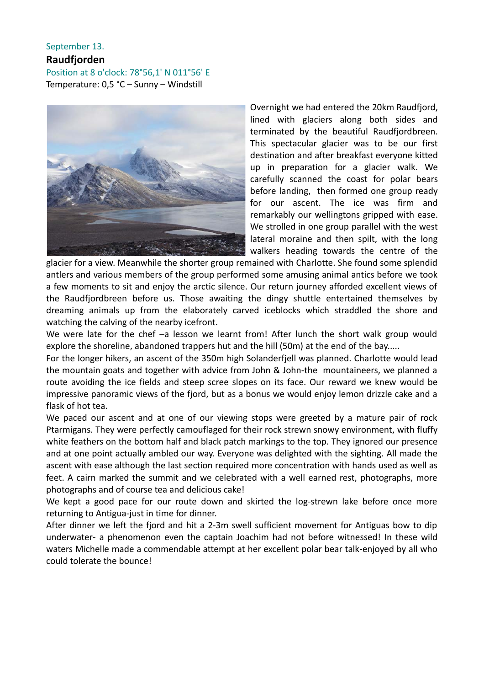#### September 13. **Raudfjorden** Position at 8 o'clock: 78°56,1' N 011°56' E Temperature: 0,5 °C – Sunny – Windstill



Overnight we had entered the 20km Raudfjord, lined with glaciers along both sides and terminated by the beautiful Raudfjordbreen. This spectacular glacier was to be our first destination and after breakfast everyone kitted up in preparation for a glacier walk. We carefully scanned the coast for polar bears before landing, then formed one group ready for our ascent. The ice was firm and remarkably our wellingtons gripped with ease. We strolled in one group parallel with the west lateral moraine and then spilt, with the long walkers heading towards the centre of the

glacier for a view. Meanwhile the shorter group remained with Charlotte. She found some splendid antlers and various members of the group performed some amusing animal antics before we took a few moments to sit and enjoy the arctic silence. Our return journey afforded excellent views of the Raudfjordbreen before us. Those awaiting the dingy shuttle entertained themselves by dreaming animals up from the elaborately carved iceblocks which straddled the shore and watching the calving of the nearby icefront.

We were late for the chef -a lesson we learnt from! After lunch the short walk group would explore the shoreline, abandoned trappers hut and the hill (50m) at the end of the bay.....

For the longer hikers, an ascent of the 350m high Solanderfjell was planned. Charlotte would lead the mountain goats and together with advice from John & John-the mountaineers, we planned a route avoiding the ice fields and steep scree slopes on its face. Our reward we knew would be impressive panoramic views of the fjord, but as a bonus we would enjoy lemon drizzle cake and a flask of hot tea.

We paced our ascent and at one of our viewing stops were greeted by a mature pair of rock Ptarmigans. They were perfectly camouflaged for their rock strewn snowy environment, with fluffy white feathers on the bottom half and black patch markings to the top. They ignored our presence and at one point actually ambled our way. Everyone was delighted with the sighting. All made the ascent with ease although the last section required more concentration with hands used as well as feet. A cairn marked the summit and we celebrated with a well earned rest, photographs, more photographs and of course tea and delicious cake!

We kept a good pace for our route down and skirted the log-strewn lake before once more returning to Antigua-just in time for dinner.

After dinner we left the fjord and hit a 2-3m swell sufficient movement for Antiguas bow to dip underwater- a phenomenon even the captain Joachim had not before witnessed! In these wild waters Michelle made a commendable attempt at her excellent polar bear talk-enjoyed by all who could tolerate the bounce!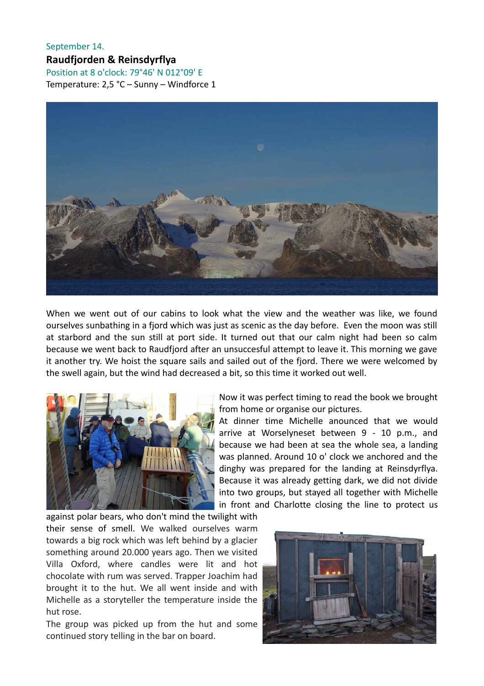### September 14. **Raudfjorden & Reinsdyrflya**

Position at 8 o'clock: 79°46' N 012°09' E Temperature: 2,5 °C – Sunny – Windforce 1



When we went out of our cabins to look what the view and the weather was like, we found ourselves sunbathing in a fjord which was just as scenic as the day before. Even the moon was still at starbord and the sun still at port side. It turned out that our calm night had been so calm because we went back to Raudfjord after an unsuccesful attempt to leave it. This morning we gave it another try. We hoist the square sails and sailed out of the fjord. There we were welcomed by the swell again, but the wind had decreased a bit, so this time it worked out well.



Now it was perfect timing to read the book we brought from home or organise our pictures.

At dinner time Michelle anounced that we would arrive at Worselyneset between 9 - 10 p.m., and because we had been at sea the whole sea, a landing was planned. Around 10 o' clock we anchored and the dinghy was prepared for the landing at Reinsdyrflya. Because it was already getting dark, we did not divide into two groups, but stayed all together with Michelle in front and Charlotte closing the line to protect us

against polar bears, who don't mind the twilight with their sense of smell. We walked ourselves warm towards a big rock which was left behind by a glacier something around 20.000 years ago. Then we visited Villa Oxford, where candles were lit and hot chocolate with rum was served. Trapper Joachim had brought it to the hut. We all went inside and with Michelle as a storyteller the temperature inside the hut rose.

The group was picked up from the hut and some continued story telling in the bar on board.

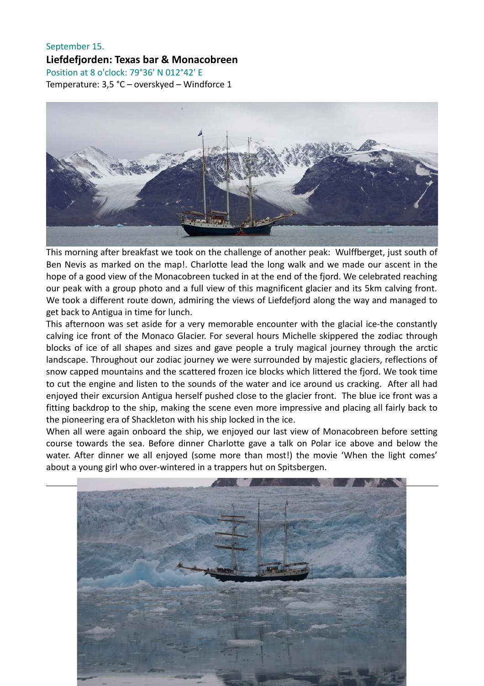#### September 15. **Liefdefjorden: Texas bar & Monacobreen** Position at 8 o'clock: 79°36' N 012°42' E Temperature: 3,5 °C – overskyed – Windforce 1



This morning after breakfast we took on the challenge of another peak: Wulffberget, just south of Ben Nevis as marked on the map!. Charlotte lead the long walk and we made our ascent in the hope of a good view of the Monacobreen tucked in at the end of the fjord. We celebrated reaching our peak with a group photo and a full view of this magnificent glacier and its 5km calving front. We took a different route down, admiring the views of Liefdefjord along the way and managed to get back to Antigua in time for lunch.

This afternoon was set aside for a very memorable encounter with the glacial ice-the constantly calving ice front of the Monaco Glacier. For several hours Michelle skippered the zodiac through blocks of ice of all shapes and sizes and gave people a truly magical journey through the arctic landscape. Throughout our zodiac journey we were surrounded by majestic glaciers, reflections of snow capped mountains and the scattered frozen ice blocks which littered the fjord. We took time to cut the engine and listen to the sounds of the water and ice around us cracking. After all had enjoyed their excursion Antigua herself pushed close to the glacier front. The blue ice front was a fitting backdrop to the ship, making the scene even more impressive and placing all fairly back to the pioneering era of Shackleton with his ship locked in the ice.

When all were again onboard the ship, we enjoyed our last view of Monacobreen before setting course towards the sea. Before dinner Charlotte gave a talk on Polar ice above and below the water. After dinner we all enjoyed (some more than most!) the movie 'When the light comes' about a young girl who over-wintered in a trappers hut on Spitsbergen.

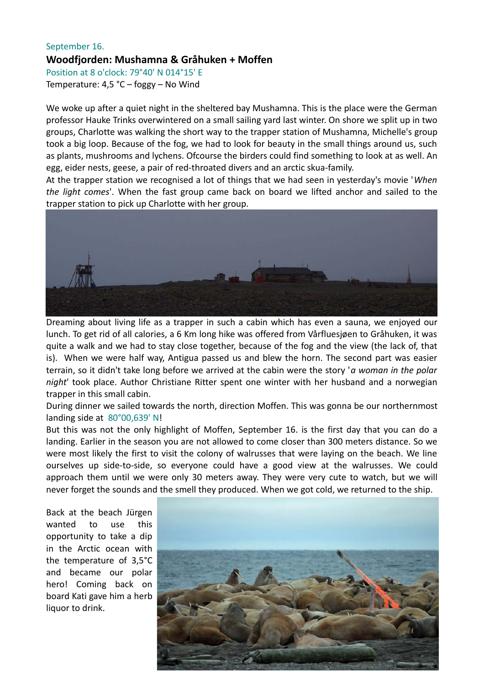#### September 16. **Woodfjorden: Mushamna & Gråhuken + Moffen** Position at 8 o'clock: 79°40' N 014°15' E

Temperature: 4,5 °C – foggy – No Wind

We woke up after a quiet night in the sheltered bay Mushamna. This is the place were the German professor Hauke Trinks overwintered on a small sailing yard last winter. On shore we split up in two groups, Charlotte was walking the short way to the trapper station of Mushamna, Michelle's group took a big loop. Because of the fog, we had to look for beauty in the small things around us, such as plants, mushrooms and lychens. Ofcourse the birders could find something to look at as well. An egg, eider nests, geese, a pair of red-throated divers and an arctic skua-family.

At the trapper station we recognised a lot of things that we had seen in yesterday's movie '*When the light comes*'. When the fast group came back on board we lifted anchor and sailed to the trapper station to pick up Charlotte with her group.



Dreaming about living life as a trapper in such a cabin which has even a sauna, we enjoyed our lunch. To get rid of all calories, a 6 Km long hike was offered from Vårfluesjøen to Gråhuken, it was quite a walk and we had to stay close together, because of the fog and the view (the lack of, that is). When we were half way, Antigua passed us and blew the horn. The second part was easier terrain, so it didn't take long before we arrived at the cabin were the story '*a woman in the polar night*' took place. Author Christiane Ritter spent one winter with her husband and a norwegian trapper in this small cabin.

During dinner we sailed towards the north, direction Moffen. This was gonna be our northernmost landing side at 80°00,639' N!

But this was not the only highlight of Moffen, September 16. is the first day that you can do a landing. Earlier in the season you are not allowed to come closer than 300 meters distance. So we were most likely the first to visit the colony of walrusses that were laying on the beach. We line ourselves up side-to-side, so everyone could have a good view at the walrusses. We could approach them until we were only 30 meters away. They were very cute to watch, but we will never forget the sounds and the smell they produced. When we got cold, we returned to the ship.

Back at the beach Jürgen wanted to use this opportunity to take a dip in the Arctic ocean with the temperature of 3,5°C and became our polar hero! Coming back on board Kati gave him a herb liquor to drink.

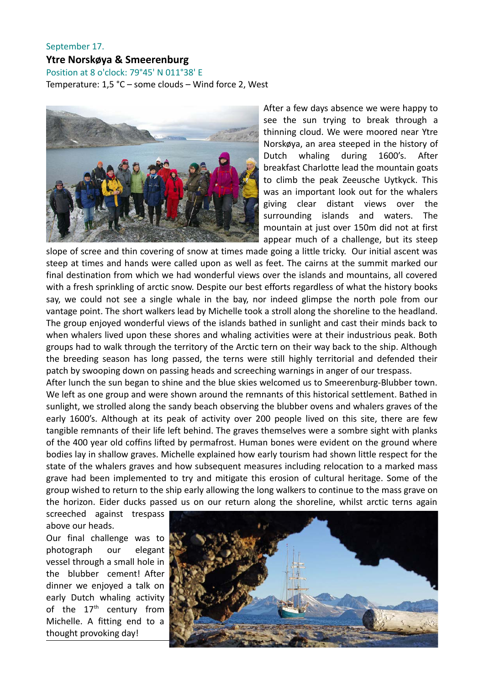#### September 17. **Ytre Norskøya & Smeerenburg**

Position at 8 o'clock: 79°45' N 011°38' E

Temperature: 1,5 °C – some clouds – Wind force 2, West



After a few days absence we were happy to see the sun trying to break through a thinning cloud. We were moored near Ytre Norskøya, an area steeped in the history of Dutch whaling during 1600's. After breakfast Charlotte lead the mountain goats to climb the peak Zeeusche Uytkyck. This was an important look out for the whalers giving clear distant views over the surrounding islands and waters. The mountain at just over 150m did not at first appear much of a challenge, but its steep

slope of scree and thin covering of snow at times made going a little tricky. Our initial ascent was steep at times and hands were called upon as well as feet. The cairns at the summit marked our final destination from which we had wonderful views over the islands and mountains, all covered with a fresh sprinkling of arctic snow. Despite our best efforts regardless of what the history books say, we could not see a single whale in the bay, nor indeed glimpse the north pole from our vantage point. The short walkers lead by Michelle took a stroll along the shoreline to the headland. The group enjoyed wonderful views of the islands bathed in sunlight and cast their minds back to when whalers lived upon these shores and whaling activities were at their industrious peak. Both groups had to walk through the territory of the Arctic tern on their way back to the ship. Although the breeding season has long passed, the terns were still highly territorial and defended their patch by swooping down on passing heads and screeching warnings in anger of our trespass.

After lunch the sun began to shine and the blue skies welcomed us to Smeerenburg-Blubber town. We left as one group and were shown around the remnants of this historical settlement. Bathed in sunlight, we strolled along the sandy beach observing the blubber ovens and whalers graves of the early 1600's. Although at its peak of activity over 200 people lived on this site, there are few tangible remnants of their life left behind. The graves themselves were a sombre sight with planks of the 400 year old coffins lifted by permafrost. Human bones were evident on the ground where bodies lay in shallow graves. Michelle explained how early tourism had shown little respect for the state of the whalers graves and how subsequent measures including relocation to a marked mass grave had been implemented to try and mitigate this erosion of cultural heritage. Some of the group wished to return to the ship early allowing the long walkers to continue to the mass grave on the horizon. Eider ducks passed us on our return along the shoreline, whilst arctic terns again

screeched against trespass above our heads.

Our final challenge was to photograph our elegant vessel through a small hole in the blubber cement! After dinner we enjoyed a talk on early Dutch whaling activity of the  $17<sup>th</sup>$  century from Michelle. A fitting end to a thought provoking day!

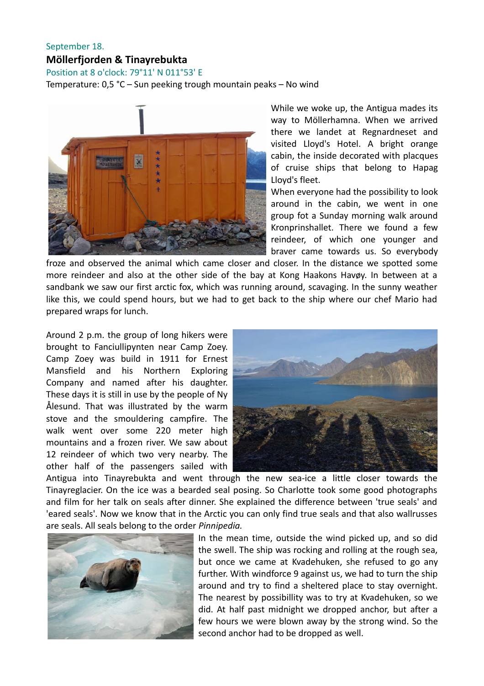#### September 18. **Möllerfjorden & Tinayrebukta**

Position at 8 o'clock: 79°11' N 011°53' E

Temperature: 0,5 °C – Sun peeking trough mountain peaks – No wind



While we woke up, the Antigua mades its way to Möllerhamna. When we arrived there we landet at Regnardneset and visited Lloyd's Hotel. A bright orange cabin, the inside decorated with placques of cruise ships that belong to Hapag Lloyd's fleet.

When everyone had the possibility to look around in the cabin, we went in one group fot a Sunday morning walk around Kronprinshallet. There we found a few reindeer, of which one younger and braver came towards us. So everybody

froze and observed the animal which came closer and closer. In the distance we spotted some more reindeer and also at the other side of the bay at Kong Haakons Havøy. In between at a sandbank we saw our first arctic fox, which was running around, scavaging. In the sunny weather like this, we could spend hours, but we had to get back to the ship where our chef Mario had prepared wraps for lunch.

Around 2 p.m. the group of long hikers were brought to Fanciullipynten near Camp Zoey. Camp Zoey was build in 1911 for Ernest Mansfield and his Northern Exploring Company and named after his daughter. These days it is still in use by the people of Ny Ålesund. That was illustrated by the warm stove and the smouldering campfire. The walk went over some 220 meter high mountains and a frozen river. We saw about 12 reindeer of which two very nearby. The other half of the passengers sailed with



Antigua into Tinayrebukta and went through the new sea-ice a little closer towards the Tinayreglacier. On the ice was a bearded seal posing. So Charlotte took some good photographs and film for her talk on seals after dinner. She explained the difference between 'true seals' and 'eared seals'. Now we know that in the Arctic you can only find true seals and that also wallrusses are seals. All seals belong to the order *Pinnipedia.*



In the mean time, outside the wind picked up, and so did the swell. The ship was rocking and rolling at the rough sea, but once we came at Kvadehuken, she refused to go any further. With windforce 9 against us, we had to turn the ship around and try to find a sheltered place to stay overnight. The nearest by possibillity was to try at Kvadehuken, so we did. At half past midnight we dropped anchor, but after a few hours we were blown away by the strong wind. So the second anchor had to be dropped as well.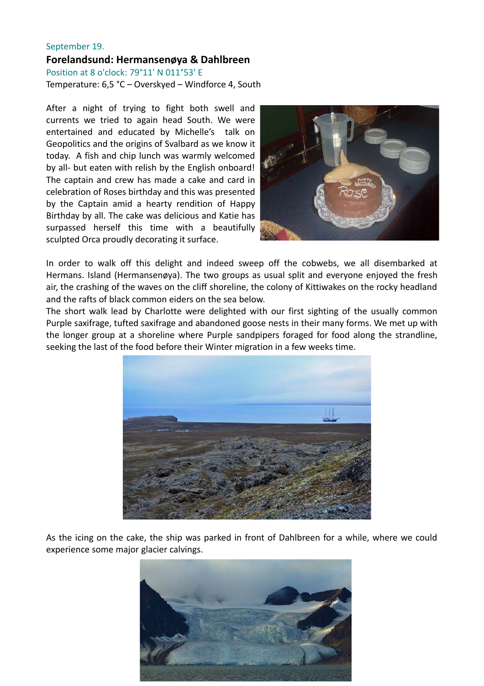#### September 19. **Forelandsund: Hermansenøya & Dahlbreen** Position at 8 o'clock: 79°11' N 011°53' E

Temperature: 6,5 °C – Overskyed – Windforce 4, South

After a night of trying to fight both swell and currents we tried to again head South. We were entertained and educated by Michelle's talk on Geopolitics and the origins of Svalbard as we know it today. A fish and chip lunch was warmly welcomed by all- but eaten with relish by the English onboard! The captain and crew has made a cake and card in celebration of Roses birthday and this was presented by the Captain amid a hearty rendition of Happy Birthday by all. The cake was delicious and Katie has surpassed herself this time with a beautifully sculpted Orca proudly decorating it surface.



In order to walk off this delight and indeed sweep off the cobwebs, we all disembarked at Hermans. Island (Hermansenøya). The two groups as usual split and everyone enjoyed the fresh air, the crashing of the waves on the cliff shoreline, the colony of Kittiwakes on the rocky headland and the rafts of black common eiders on the sea below.

The short walk lead by Charlotte were delighted with our first sighting of the usually common Purple saxifrage, tufted saxifrage and abandoned goose nests in their many forms. We met up with the longer group at a shoreline where Purple sandpipers foraged for food along the strandline, seeking the last of the food before their Winter migration in a few weeks time.



As the icing on the cake, the ship was parked in front of Dahlbreen for a while, where we could experience some major glacier calvings.

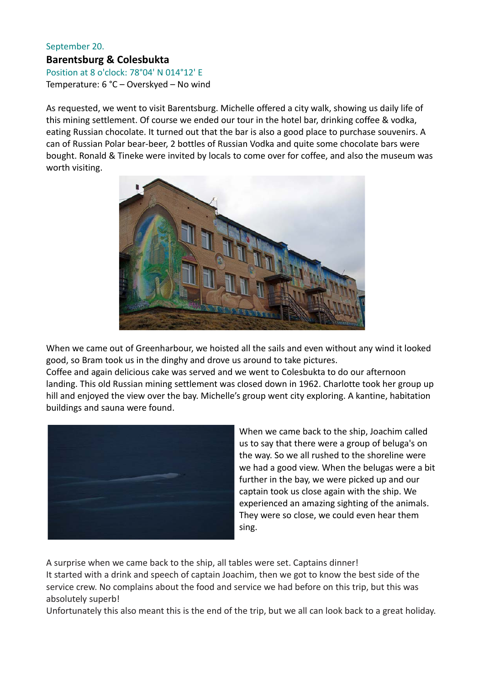#### September 20. **Barentsburg & Colesbukta** Position at 8 o'clock: 78°04' N 014°12' E

Temperature: 6 °C – Overskyed – No wind

As requested, we went to visit Barentsburg. Michelle offered a city walk, showing us daily life of this mining settlement. Of course we ended our tour in the hotel bar, drinking coffee & vodka, eating Russian chocolate. It turned out that the bar is also a good place to purchase souvenirs. A can of Russian Polar bear-beer, 2 bottles of Russian Vodka and quite some chocolate bars were bought. Ronald & Tineke were invited by locals to come over for coffee, and also the museum was worth visiting.



When we came out of Greenharbour, we hoisted all the sails and even without any wind it looked good, so Bram took us in the dinghy and drove us around to take pictures.

Coffee and again delicious cake was served and we went to Colesbukta to do our afternoon landing. This old Russian mining settlement was closed down in 1962. Charlotte took her group up hill and enjoyed the view over the bay. Michelle's group went city exploring. A kantine, habitation buildings and sauna were found.



When we came back to the ship, Joachim called us to say that there were a group of beluga's on the way. So we all rushed to the shoreline were we had a good view. When the belugas were a bit further in the bay, we were picked up and our captain took us close again with the ship. We experienced an amazing sighting of the animals. They were so close, we could even hear them sing.

A surprise when we came back to the ship, all tables were set. Captains dinner!

It started with a drink and speech of captain Joachim, then we got to know the best side of the service crew. No complains about the food and service we had before on this trip, but this was absolutely superb!

Unfortunately this also meant this is the end of the trip, but we all can look back to a great holiday.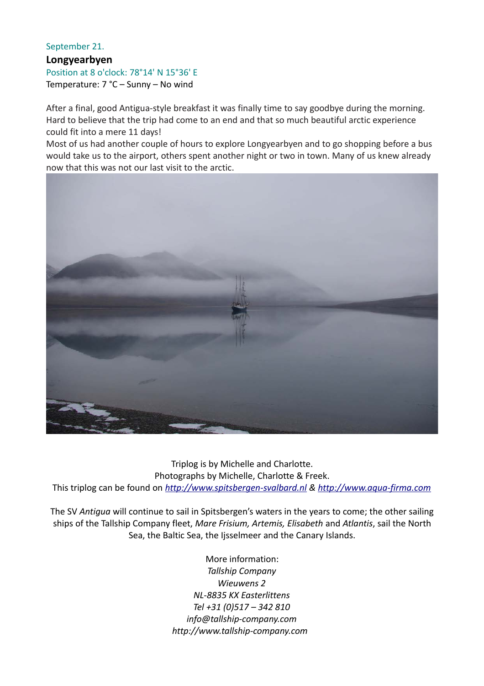#### September 21. **Longyearbyen** Position at 8 o'clock: 78°14' N 15°36' E Temperature: 7 °C – Sunny – No wind

After a final, good Antigua-style breakfast it was finally time to say goodbye during the morning. Hard to believe that the trip had come to an end and that so much beautiful arctic experience could fit into a mere 11 days!

Most of us had another couple of hours to explore Longyearbyen and to go shopping before a bus would take us to the airport, others spent another night or two in town. Many of us knew already now that this was not our last visit to the arctic.



Triplog is by Michelle and Charlotte. Photographs by Michelle, Charlotte & Freek. This triplog can be found on *[http://www.spitsbergen-svalbard.nl](http://www.spitsbergen-svalbard.nl/) & [http://www.aqua-firma.com](http://www.aqua-firma.com/)*

The SV *Antigua* will continue to sail in Spitsbergen's waters in the years to come; the other sailing ships of the Tallship Company fleet, *Mare Frisium, Artemis, Elisabeth* and *Atlantis*, sail the North Sea, the Baltic Sea, the Ijsselmeer and the Canary Islands.

> More information: *Tallship Company Wieuwens 2 NL-8835 KX Easterlittens Tel +31 (0)517 – 342 810 info@tallship-company.com http://www.tallship-company.com*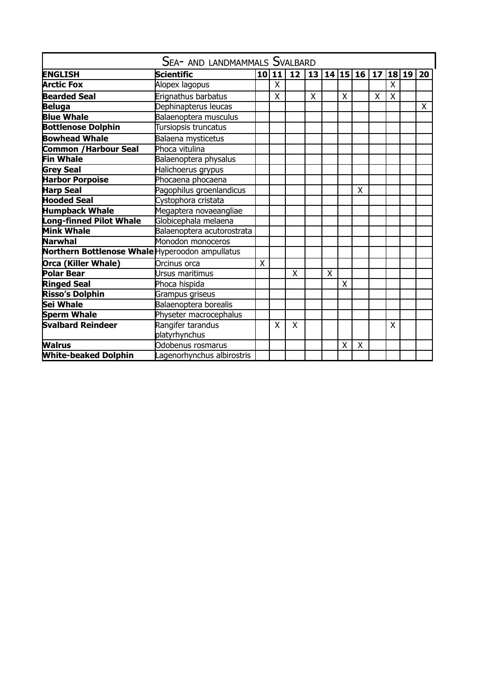| SEA- AND LANDMAMMALS SVALBARD                   |                            |                 |    |    |   |   |   |             |    |   |        |    |
|-------------------------------------------------|----------------------------|-----------------|----|----|---|---|---|-------------|----|---|--------|----|
| <b>ENGLISH</b>                                  | <b>Scientific</b>          | 10 <sub>1</sub> | 11 | 12 |   |   |   | 13 14 15 16 | 17 |   | 18  19 | 20 |
| <b>Arctic Fox</b>                               | Alopex lagopus             |                 | X. |    |   |   |   |             |    | X |        |    |
| <b>Bearded Seal</b>                             | Erignathus barbatus        |                 | X  |    | X |   | X |             | X  | X |        |    |
| <b>Beluga</b>                                   | Dephinapterus leucas       |                 |    |    |   |   |   |             |    |   |        | X  |
| <b>Blue Whale</b>                               | Balaenoptera musculus      |                 |    |    |   |   |   |             |    |   |        |    |
| <b>Bottlenose Dolphin</b>                       | Tursiopsis truncatus       |                 |    |    |   |   |   |             |    |   |        |    |
| <b>Bowhead Whale</b>                            | Balaena mysticetus         |                 |    |    |   |   |   |             |    |   |        |    |
| <b>Common / Harbour Seal</b>                    | Phoca vitulina             |                 |    |    |   |   |   |             |    |   |        |    |
| <b>Fin Whale</b>                                | Balaenoptera physalus      |                 |    |    |   |   |   |             |    |   |        |    |
| <b>Grey Seal</b>                                | Halichoerus grypus         |                 |    |    |   |   |   |             |    |   |        |    |
| <b>Harbor Porpoise</b>                          | Phocaena phocaena          |                 |    |    |   |   |   |             |    |   |        |    |
| <b>Harp Seal</b>                                | Pagophilus groenlandicus   |                 |    |    |   |   |   | X           |    |   |        |    |
| <b>Hooded Seal</b>                              | Cystophora cristata        |                 |    |    |   |   |   |             |    |   |        |    |
| <b>Humpback Whale</b>                           | Megaptera novaeangliae     |                 |    |    |   |   |   |             |    |   |        |    |
| Long-finned Pilot Whale                         | Globicephala melaena       |                 |    |    |   |   |   |             |    |   |        |    |
| <b>Mink Whale</b>                               | Balaenoptera acutorostrata |                 |    |    |   |   |   |             |    |   |        |    |
| Narwhal                                         | Monodon monoceros          |                 |    |    |   |   |   |             |    |   |        |    |
| Northern Bottlenose Whale Hyperoodon ampullatus |                            |                 |    |    |   |   |   |             |    |   |        |    |
| <b>Orca (Killer Whale)</b>                      | Orcinus orca               | Χ               |    |    |   |   |   |             |    |   |        |    |
| Polar Bear                                      | Ursus maritimus            |                 |    | X  |   | X |   |             |    |   |        |    |
| <b>Ringed Seal</b>                              | Phoca hispida              |                 |    |    |   |   | X |             |    |   |        |    |
| Risso's Dolphin                                 | Grampus griseus            |                 |    |    |   |   |   |             |    |   |        |    |
| Sei Whale                                       | Balaenoptera borealis      |                 |    |    |   |   |   |             |    |   |        |    |
| Sperm Whale                                     | Physeter macrocephalus     |                 |    |    |   |   |   |             |    |   |        |    |
| Svalbard Reindeer                               | Rangifer tarandus          |                 | X  | X  |   |   |   |             |    | X |        |    |
|                                                 | platyrhynchus              |                 |    |    |   |   |   |             |    |   |        |    |
| <b>Walrus</b>                                   | Odobenus rosmarus          |                 |    |    |   |   | X | X           |    |   |        |    |
| <b>White-beaked Dolphin</b>                     | Lagenorhynchus albirostris |                 |    |    |   |   |   |             |    |   |        |    |